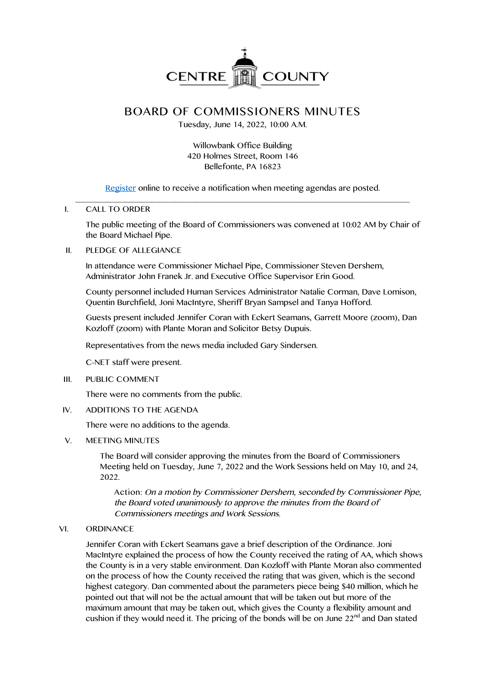

# **BOARD OF COMMISSIONERS MINUTES**

Tuesday, June 14, 2022, 10:00 A.M.

# Willowbank Office Building 420 Holmes Street, Room 146 Bellefonte, PA 16823

Register online to receive a notification when meeting agendas are posted. \_\_\_\_\_\_\_\_\_\_\_\_\_\_\_\_\_\_\_\_\_\_\_\_\_\_\_\_\_\_\_\_\_\_\_\_\_\_\_\_\_\_\_\_\_\_\_\_\_\_\_\_\_\_\_\_\_\_\_\_\_\_\_\_\_\_\_\_\_\_\_\_\_\_\_\_\_\_

# I. CALL TO ORDER

The public meeting of the Board of Commissioners was convened at 10:02 AM by Chair of the Board Michael Pipe.

## II. PLEDGE OF ALLEGIANCE

In attendance were Commissioner Michael Pipe, Commissioner Steven Dershem, Administrator John Franek Jr. and Executive Office Supervisor Erin Good.

County personnel included Human Services Administrator Natalie Corman, Dave Lomison, Quentin Burchfield, Joni MacIntyre, Sheriff Bryan Sampsel and Tanya Hofford.

Guests present included Jennifer Coran with Eckert Seamans, Garrett Moore (zoom), Dan Kozloff (zoom) with Plante Moran and Solicitor Betsy Dupuis.

Representatives from the news media included Gary Sindersen.

C-NET staff were present.

III. PUBLIC COMMENT

There were no comments from the public.

IV. ADDITIONS TO THE AGENDA

There were no additions to the agenda.

V. MEETING MINUTES

The Board will consider approving the minutes from the Board of Commissioners Meeting held on Tuesday, June 7, 2022 and the Work Sessions held on May 10, and 24, 2022.

**Action**: On <sup>a</sup> motion by Commissioner Dershem, seconded by Commissioner Pipe, the Board voted unanimously to approve the minutes from the Board of Commissioners meetings and Work Sessions.

#### VI. ORDINANCE

Jennifer Coran with Eckert Seamans gave a brief description of the Ordinance. Joni MacIntyre explained the process of how the County received the rating of AA, which shows the County is in a very stable environment. Dan Kozloff with Plante Moran also commented on the process of how the County received the rating that was given, which is the second highest category. Dan commented about the parameters piece being \$40 million, which he pointed out that will not be the actual amount that will be taken out but more of the maximum amount that may be taken out, which gives the County a flexibility amount and cushion if they would need it. The pricing of the bonds will be on June  $22<sup>nd</sup>$  and Dan stated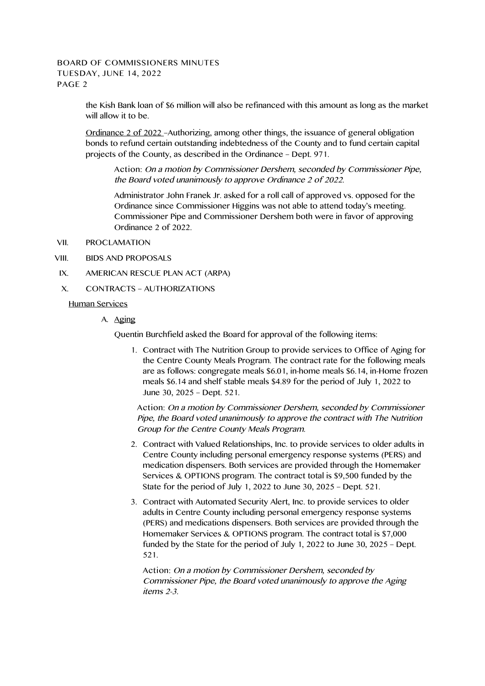the Kish Bank loan of \$6 million will also be refinanced with this amount as long as the market will allow it to be.

Ordinance 2 of 2022 –Authorizing, among other things, the issuance of general obligation bonds to refund certain outstanding indebtedness of the County and to fund certain capital projects of the County, as described in the Ordinance – Dept. 971.

**Action:** On <sup>a</sup> motion by Commissioner Dershem, seconded by Commissioner Pipe, the Board voted unanimously to approve Ordinance <sup>2</sup> of 2022.

Administrator John Franek Jr. asked for a roll call of approved vs. opposed for the Ordinance since Commissioner Higgins was not able to attend today's meeting. Commissioner Pipe and Commissioner Dershem both were in favor of approving Ordinance 2 of 2022.

- VII. PROCLAMATION
- VIII. BIDS AND PROPOSALS
- IX. AMERICAN RESCUE PLAN ACT (ARPA)
- X. CONTRACTS AUTHORIZATIONS
	- Human Services
		- A. Aging

Quentin Burchfield asked the Board for approval of the following items:

1. Contract with The Nutrition Group to provide services to Office of Aging for the Centre County Meals Program. The contract rate for the following meals are as follows: congregate meals \$6.01, in-home meals \$6.14, in-Home frozen meals \$6.14 and shelf stable meals \$4.89 for the period of July 1, 2022 to June 30, 2025 – Dept. 521.

**Action:** On <sup>a</sup> motion by Commissioner Dershem, seconded by Commissioner Pipe, the Board voted unanimously to approve the contract with The Nutrition Group for the Centre County Meals Program.

- 2. Contract with Valued Relationships, Inc. to provide services to older adults in Centre County including personal emergency response systems (PERS) and medication dispensers. Both services are provided through the Homemaker Services & OPTIONS program. The contract total is \$9,500 funded by the State for the period of July 1, 2022 to June 30, 2025 – Dept. 521.
- 3. Contract with Automated Security Alert, Inc. to provide services to older adults in Centre County including personal emergency response systems (PERS) and medications dispensers. Both services are provided through the Homemaker Services & OPTIONS program. The contract total is \$7,000 funded by the State for the period of July 1, 2022 to June 30, 2025 – Dept. 521.

**Action:** On <sup>a</sup> motion by Commissioner Dershem, seconded by Commissioner Pipe, the Board voted unanimously to approve the Aging items 2-3.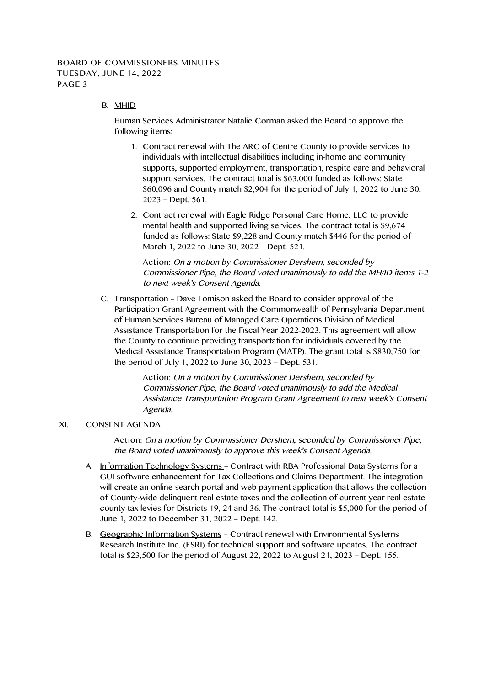## B. MHID

Human Services Administrator Natalie Corman asked the Board to approve the following items:

- 1. Contract renewal with The ARC of Centre County to provide services to individuals with intellectual disabilities including in-home and community supports, supported employment, transportation, respite care and behavioral support services. The contract total is \$63,000 funded as follows: State \$60,096 and County match \$2,904 for the period of July 1, 2022 to June 30, 2023 – Dept. 561.
- 2. Contract renewal with Eagle Ridge Personal Care Home, LLC to provide mental health and supported living services. The contract total is \$9,674 funded as follows: State \$9,228 and County match \$446 for the period of March 1, 2022 to June 30, 2022 – Dept. 521.

**Action:** On <sup>a</sup> motion by Commissioner Dershem, seconded by Commissioner Pipe, the Board voted unanimously to add the MH/ID items 1-2 to next week's Consent Agenda.

C. Transportation – Dave Lomison asked the Board to consider approval of the Participation Grant Agreement with the Commonwealth of Pennsylvania Department of Human Services Bureau of Managed Care Operations Division of Medical Assistance Transportation for the Fiscal Year 2022-2023. This agreement will allow the County to continue providing transportation for individuals covered by the Medical Assistance Transportation Program (MATP). The grant total is \$830,750 for the period of July 1, 2022 to June 30, 2023 – Dept. 531.

> **Action:** On <sup>a</sup> motion by Commissioner Dershem, seconded by Commissioner Pipe, the Board voted unanimously to add the Medical Assistance Transportation Program Grant Agreement to next week's Consent Agenda.

#### XI. CONSENT AGENDA

**Action:** On <sup>a</sup> motion by Commissioner Dershem, seconded by Commissioner Pipe, the Board voted unanimously to approve this week's Consent Agenda.

- A. Information Technology Systems Contract with RBA Professional Data Systems for a GUI software enhancement for Tax Collections and Claims Department. The integration will create an online search portal and web payment application that allows the collection of County-wide delinquent real estate taxes and the collection of current year real estate county tax levies for Districts 19, 24 and 36. The contract total is \$5,000 for the period of June 1, 2022 to December 31, 2022 – Dept. 142.
- B. Geographic Information Systems Contract renewal with Environmental Systems Research Institute Inc. (ESRI) for technical support and software updates. The contract total is \$23,500 for the period of August 22, 2022 to August 21, 2023 – Dept. 155.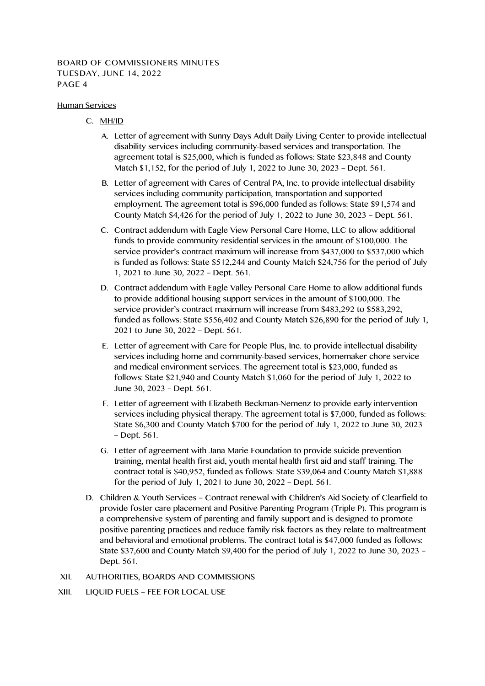#### Human Services

- C. MH/ID
	- A. Letter of agreement with Sunny Days Adult Daily Living Center to provide intellectual disability services including community-based services and transportation. The agreement total is \$25,000, which is funded as follows: State \$23,848 and County Match \$1,152, for the period of July 1, 2022 to June 30, 2023 – Dept. 561.
	- B. Letter of agreement with Cares of Central PA, Inc. to provide intellectual disability services including community participation, transportation and supported employment. The agreement total is \$96,000 funded as follows: State \$91,574 and County Match \$4,426 for the period of July 1, 2022 to June 30, 2023 – Dept. 561.
	- C. Contract addendum with Eagle View Personal Care Home, LLC to allow additional funds to provide community residential services in the amount of \$100,000. The service provider's contract maximum will increase from \$437,000 to \$537,000 which is funded as follows: State \$512,244 and County Match \$24,756 for the period of July 1, 2021 to June 30, 2022 – Dept. 561.
	- D. Contract addendum with Eagle Valley Personal Care Home to allow additional funds to provide additional housing support services in the amount of \$100,000. The service provider's contract maximum will increase from \$483,292 to \$583,292, funded as follows: State \$556,402 and County Match \$26,890 for the period of July 1, 2021 to June 30, 2022 – Dept. 561.
	- E. Letter of agreement with Care for People Plus, Inc. to provide intellectual disability services including home and community-based services, homemaker chore service and medical environment services. The agreement total is \$23,000, funded as follows: State \$21,940 and County Match \$1,060 for the period of July 1, 2022 to June 30, 2023 – Dept. 561.
	- F. Letter of agreement with Elizabeth Beckman-Nemenz to provide early intervention services including physical therapy. The agreement total is \$7,000, funded as follows: State \$6,300 and County Match \$700 for the period of July 1, 2022 to June 30, 2023 – Dept. 561.
	- G. Letter of agreement with Jana Marie Foundation to provide suicide prevention training, mental health first aid, youth mental health first aid and staff training. The contract total is \$40,952, funded as follows: State \$39,064 and County Match \$1,888 for the period of July 1, 2021 to June 30, 2022 – Dept. 561.
- D. Children & Youth Services Contract renewal with Children's Aid Society of Clearfield to provide foster care placement and Positive Parenting Program (Triple P). This program is a comprehensive system of parenting and family support and is designed to promote positive parenting practices and reduce family risk factors as they relate to maltreatment and behavioral and emotional problems. The contract total is \$47,000 funded as follows: State \$37,600 and County Match \$9,400 for the period of July 1, 2022 to June 30, 2023 – Dept. 561.
- XII. AUTHORITIES, BOARDS AND COMMISSIONS
- XIII. LIQUID FUELS FEE FOR LOCAL USE